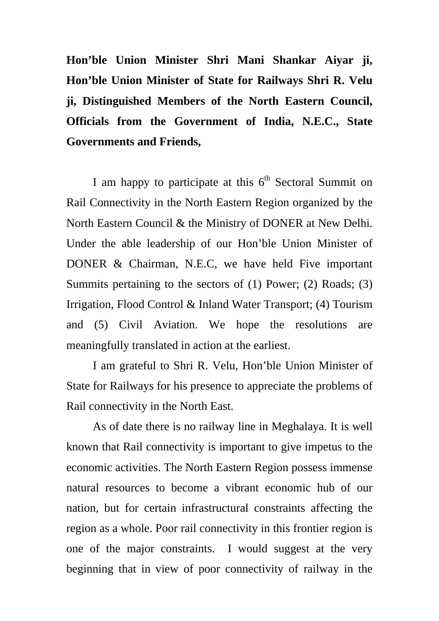**Hon'ble Union Minister Shri Mani Shankar Aiyar ji, Hon'ble Union Minister of State for Railways Shri R. Velu ji, Distinguished Members of the North Eastern Council, Officials from the Government of India, N.E.C., State Governments and Friends,** 

I am happy to participate at this  $6<sup>th</sup>$  Sectoral Summit on Rail Connectivity in the North Eastern Region organized by the North Eastern Council & the Ministry of DONER at New Delhi. Under the able leadership of our Hon'ble Union Minister of DONER & Chairman, N.E.C, we have held Five important Summits pertaining to the sectors of (1) Power; (2) Roads; (3) Irrigation, Flood Control & Inland Water Transport; (4) Tourism and (5) Civil Aviation. We hope the resolutions are meaningfully translated in action at the earliest.

I am grateful to Shri R. Velu, Hon'ble Union Minister of State for Railways for his presence to appreciate the problems of Rail connectivity in the North East.

As of date there is no railway line in Meghalaya. It is well known that Rail connectivity is important to give impetus to the economic activities. The North Eastern Region possess immense natural resources to become a vibrant economic hub of our nation, but for certain infrastructural constraints affecting the region as a whole. Poor rail connectivity in this frontier region is one of the major constraints. I would suggest at the very beginning that in view of poor connectivity of railway in the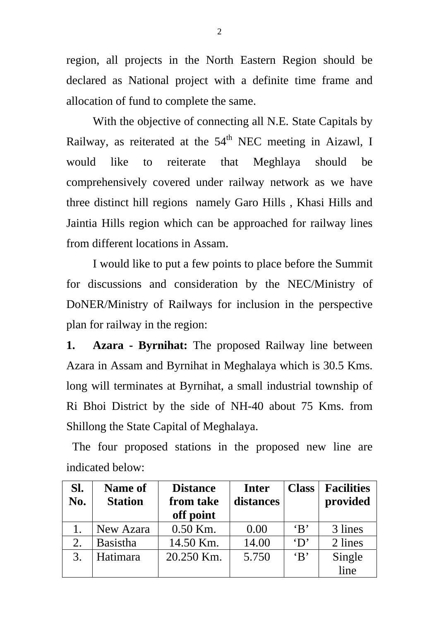region, all projects in the North Eastern Region should be declared as National project with a definite time frame and allocation of fund to complete the same.

With the objective of connecting all N.E. State Capitals by Railway, as reiterated at the  $54<sup>th</sup>$  NEC meeting in Aizawl, I would like to reiterate that Meghlaya should be comprehensively covered under railway network as we have three distinct hill regions namely Garo Hills , Khasi Hills and Jaintia Hills region which can be approached for railway lines from different locations in Assam.

I would like to put a few points to place before the Summit for discussions and consideration by the NEC/Ministry of DoNER/Ministry of Railways for inclusion in the perspective plan for railway in the region:

**1. Azara - Byrnihat:** The proposed Railway line between Azara in Assam and Byrnihat in Meghalaya which is 30.5 Kms. long will terminates at Byrnihat, a small industrial township of Ri Bhoi District by the side of NH-40 about 75 Kms. from Shillong the State Capital of Meghalaya.

 The four proposed stations in the proposed new line are indicated below:

| Sl.<br>No. | <b>Name of</b><br><b>Station</b> | <b>Distance</b><br>from take<br>off point | Inter<br>distances | <b>Class</b>          | <b>Facilities</b><br>provided |
|------------|----------------------------------|-------------------------------------------|--------------------|-----------------------|-------------------------------|
|            | New Azara                        | $0.50$ Km.                                | 0.00               | $\mathbf{B}$          | 3 lines                       |
| 2.         | <b>Basistha</b>                  | 14.50 Km.                                 | 14.00              | $\mathbf{D}^{\prime}$ | 2 lines                       |
| 3.         | Hatimara                         | 20.250 Km.                                | 5.750              | $\mathbf{B}$          | Single<br>line                |
|            |                                  |                                           |                    |                       |                               |

2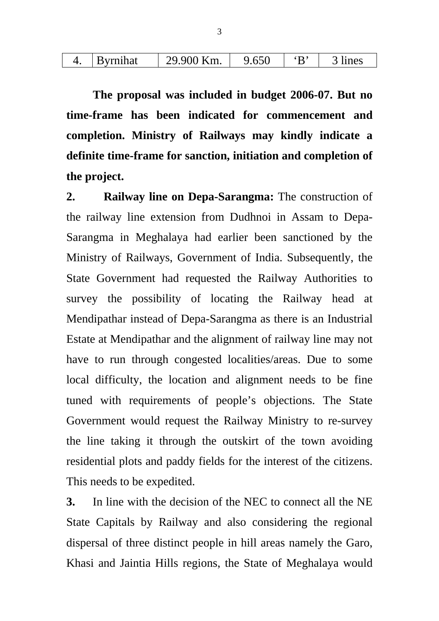| Km.<br>$\bullet$ -<br>$\epsilon$ c $\alpha$<br>$\cdot$ D'<br>Q<br><i>r</i> mihat<br>OCG<br>◡ | ገല |
|----------------------------------------------------------------------------------------------|----|
|----------------------------------------------------------------------------------------------|----|

 **The proposal was included in budget 2006-07. But no time-frame has been indicated for commencement and completion. Ministry of Railways may kindly indicate a definite time-frame for sanction, initiation and completion of the project.** 

**2. Railway line on Depa-Sarangma:** The construction of the railway line extension from Dudhnoi in Assam to Depa-Sarangma in Meghalaya had earlier been sanctioned by the Ministry of Railways, Government of India. Subsequently, the State Government had requested the Railway Authorities to survey the possibility of locating the Railway head at Mendipathar instead of Depa-Sarangma as there is an Industrial Estate at Mendipathar and the alignment of railway line may not have to run through congested localities/areas. Due to some local difficulty, the location and alignment needs to be fine tuned with requirements of people's objections. The State Government would request the Railway Ministry to re-survey the line taking it through the outskirt of the town avoiding residential plots and paddy fields for the interest of the citizens. This needs to be expedited.

**3.** In line with the decision of the NEC to connect all the NE State Capitals by Railway and also considering the regional dispersal of three distinct people in hill areas namely the Garo, Khasi and Jaintia Hills regions, the State of Meghalaya would